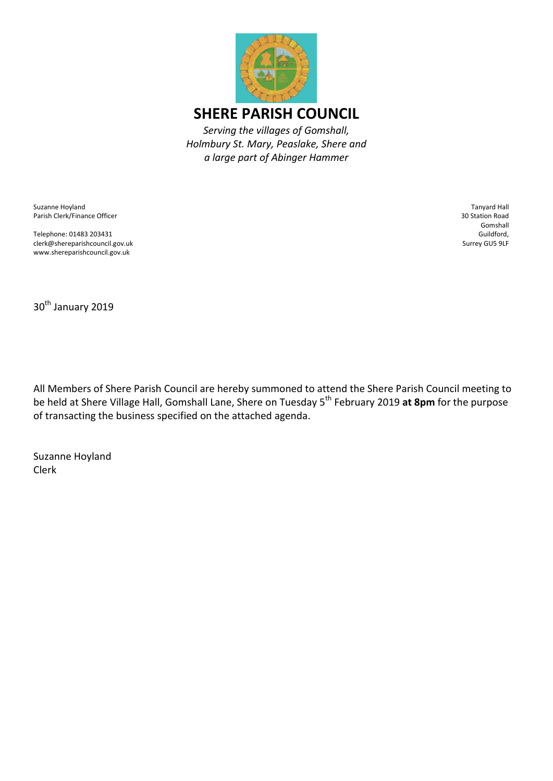

Suzanne Hoyland Parish Clerk/Finance Officer

Telephone: 01483 203431 clerk@shereparishcouncil.gov.uk www.shereparishcouncil.gov.uk

Tanyard Hall 30 Station Road Gomshall Guildford, Surrey GU5 9LF

30<sup>th</sup> January 2019

All Members of Shere Parish Council are hereby summoned to attend the Shere Parish Council meeting to be held at Shere Village Hall, Gomshall Lane, Shere on Tuesday 5th February 2019 **at 8pm** for the purpose of transacting the business specified on the attached agenda.

Suzanne Hoyland Clerk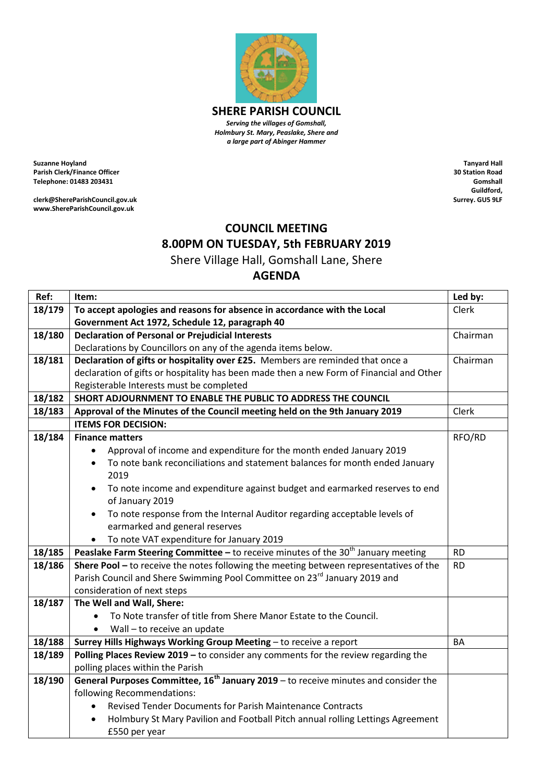

*Serving the villages of Gomshall, Holmbury St. Mary, Peaslake, Shere and a large part of Abinger Hammer*

**Suzanne Hoyland Parish Clerk/Finance Officer Telephone: 01483 203431**

**clerk@ShereParishCouncil.gov.uk www.ShereParishCouncil.gov.uk**

**Tanyard Hall 30 Station Road Gomshall Guildford, Surrey. GU5 9LF**

## **COUNCIL MEETING 8.00PM ON TUESDAY, 5th FEBRUARY 2019**

Shere Village Hall, Gomshall Lane, Shere

## **AGENDA**

| Ref:   | Item:                                                                                           | Led by:   |
|--------|-------------------------------------------------------------------------------------------------|-----------|
| 18/179 | To accept apologies and reasons for absence in accordance with the Local                        | Clerk     |
|        | Government Act 1972, Schedule 12, paragraph 40                                                  |           |
| 18/180 | <b>Declaration of Personal or Prejudicial Interests</b>                                         | Chairman  |
|        | Declarations by Councillors on any of the agenda items below.                                   |           |
| 18/181 | Declaration of gifts or hospitality over £25. Members are reminded that once a                  | Chairman  |
|        | declaration of gifts or hospitality has been made then a new Form of Financial and Other        |           |
|        | Registerable Interests must be completed                                                        |           |
| 18/182 | SHORT ADJOURNMENT TO ENABLE THE PUBLIC TO ADDRESS THE COUNCIL                                   |           |
| 18/183 | Approval of the Minutes of the Council meeting held on the 9th January 2019                     | Clerk     |
|        | <b>ITEMS FOR DECISION:</b>                                                                      |           |
| 18/184 | <b>Finance matters</b>                                                                          | RFO/RD    |
|        | Approval of income and expenditure for the month ended January 2019                             |           |
|        | To note bank reconciliations and statement balances for month ended January                     |           |
|        | 2019                                                                                            |           |
|        | To note income and expenditure against budget and earmarked reserves to end<br>$\bullet$        |           |
|        | of January 2019                                                                                 |           |
|        | To note response from the Internal Auditor regarding acceptable levels of<br>$\bullet$          |           |
|        | earmarked and general reserves                                                                  |           |
|        | To note VAT expenditure for January 2019                                                        |           |
| 18/185 | Peaslake Farm Steering Committee - to receive minutes of the $30th$ January meeting             | <b>RD</b> |
| 18/186 | Shere Pool - to receive the notes following the meeting between representatives of the          | <b>RD</b> |
|        | Parish Council and Shere Swimming Pool Committee on 23 <sup>rd</sup> January 2019 and           |           |
|        | consideration of next steps                                                                     |           |
| 18/187 | The Well and Wall, Shere:                                                                       |           |
|        | To Note transfer of title from Shere Manor Estate to the Council.                               |           |
|        | Wall - to receive an update                                                                     |           |
| 18/188 | Surrey Hills Highways Working Group Meeting - to receive a report                               | <b>BA</b> |
| 18/189 | Polling Places Review 2019 - to consider any comments for the review regarding the              |           |
|        | polling places within the Parish                                                                |           |
| 18/190 | General Purposes Committee, 16 <sup>th</sup> January 2019 - to receive minutes and consider the |           |
|        | following Recommendations:                                                                      |           |
|        | Revised Tender Documents for Parish Maintenance Contracts<br>$\bullet$                          |           |
|        | Holmbury St Mary Pavilion and Football Pitch annual rolling Lettings Agreement<br>$\bullet$     |           |
|        | £550 per year                                                                                   |           |